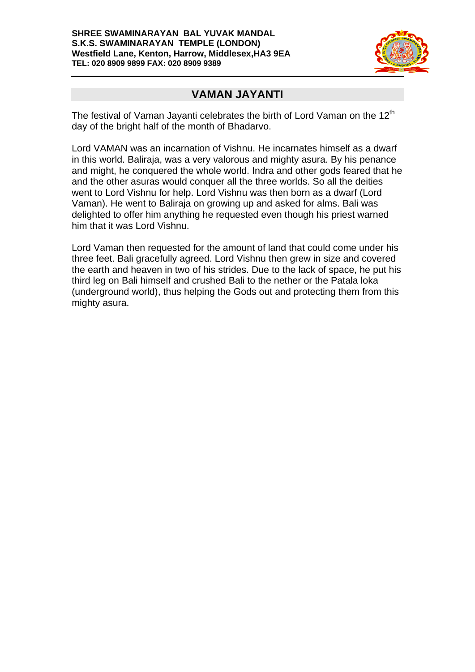

#### **VAMAN JAYANTI**

The festival of Vaman Jayanti celebrates the birth of Lord Vaman on the  $12<sup>th</sup>$ day of the bright half of the month of Bhadarvo.

Lord VAMAN was an incarnation of Vishnu. He incarnates himself as a dwarf in this world. Baliraja, was a very valorous and mighty asura. By his penance and might, he conquered the whole world. Indra and other gods feared that he and the other asuras would conquer all the three worlds. So all the deities went to Lord Vishnu for help. Lord Vishnu was then born as a dwarf (Lord Vaman). He went to Baliraja on growing up and asked for alms. Bali was delighted to offer him anything he requested even though his priest warned him that it was Lord Vishnu.

Lord Vaman then requested for the amount of land that could come under his three feet. Bali gracefully agreed. Lord Vishnu then grew in size and covered the earth and heaven in two of his strides. Due to the lack of space, he put his third leg on Bali himself and crushed Bali to the nether or the Patala loka (underground world), thus helping the Gods out and protecting them from this mighty asura.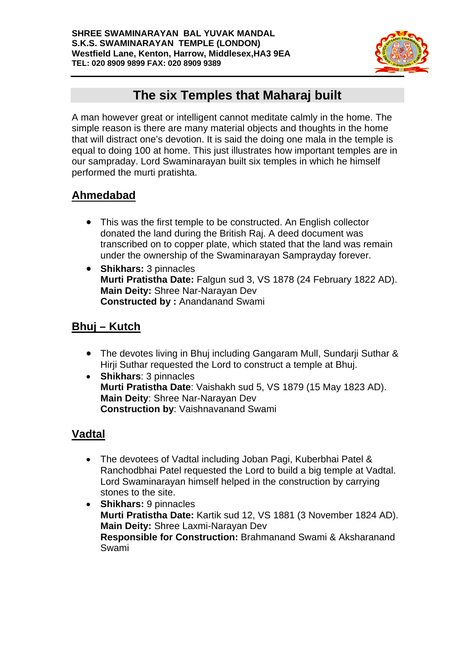

# **The six Temples that Maharaj built**

A man however great or intelligent cannot meditate calmly in the home. The simple reason is there are many material objects and thoughts in the home that will distract one's devotion. It is said the doing one mala in the temple is equal to doing 100 at home. This just illustrates how important temples are in our sampraday. Lord Swaminarayan built six temples in which he himself performed the murti pratishta.

# **Ahmedabad**

- This was the first temple to be constructed. An English collector donated the land during the British Raj. A deed document was transcribed on to copper plate, which stated that the land was remain under the ownership of the Swaminarayan Samprayday forever.
- **Shikhars:** 3 pinnacles **Murti Pratistha Date:** Falgun sud 3, VS 1878 (24 February 1822 AD). **Main Deity:** Shree Nar-Narayan Dev **Constructed by :** Anandanand Swami

## **Bhuj – Kutch**

- The devotes living in Bhuj including Gangaram Mull, Sundarii Suthar & Hirji Suthar requested the Lord to construct a temple at Bhuj.
- **Shikhars**: 3 pinnacles **Murti Pratistha Date**: Vaishakh sud 5, VS 1879 (15 May 1823 AD). **Main Deity**: Shree Nar-Narayan Dev **Construction by**: Vaishnavanand Swami

### **Vadtal**

- The devotees of Vadtal including Joban Pagi, Kuberbhai Patel & Ranchodbhai Patel requested the Lord to build a big temple at Vadtal. Lord Swaminarayan himself helped in the construction by carrying stones to the site.
- **Shikhars:** 9 pinnacles **Murti Pratistha Date:** Kartik sud 12, VS 1881 (3 November 1824 AD). **Main Deity:** Shree Laxmi-Narayan Dev **Responsible for Construction:** Brahmanand Swami & Aksharanand Swami